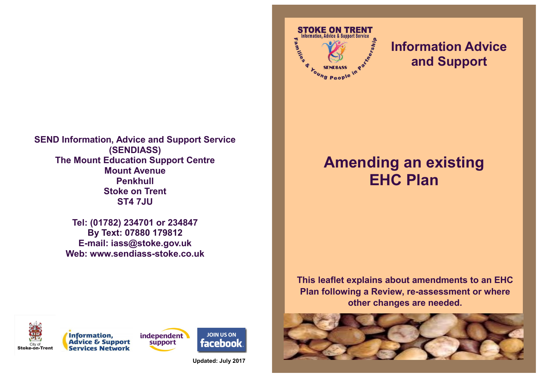

**Tel: (01782) 234701 or 234847 By Text: 07880 179812 E-mail: iass@stoke.gov.uk Web: www.sendiass-stoke.co.uk**





**Updated: July 2017**



## **Information Advice and Support**

## **Amending an existing EHC Plan**

**This leaflet explains about amendments to an EHC Plan following a Review, re-assessment or where other changes are needed.**